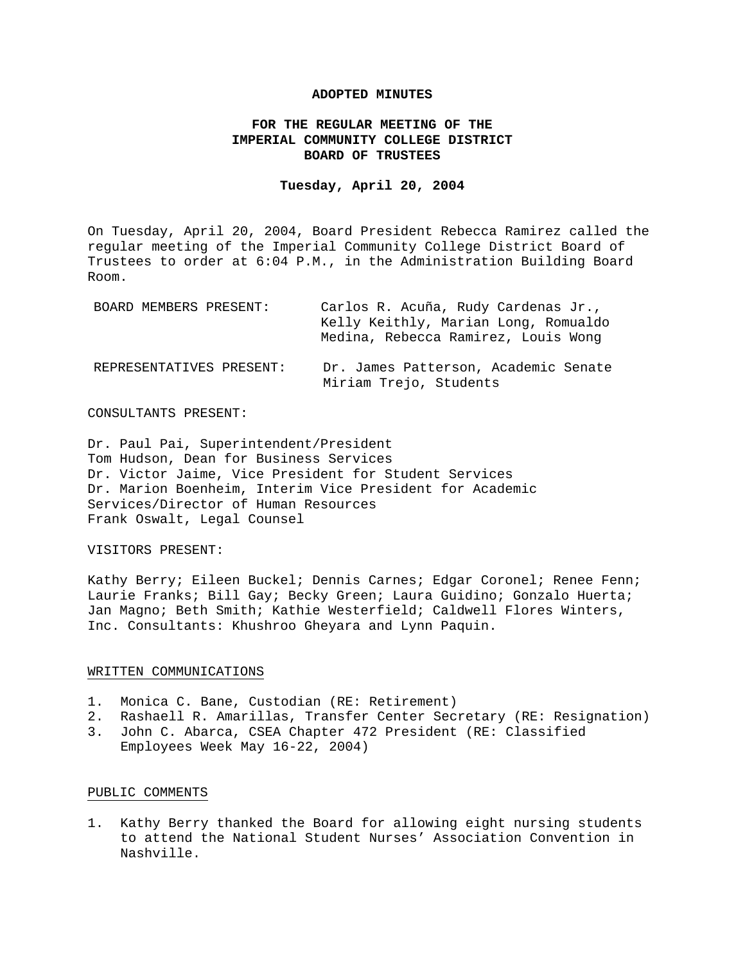### **ADOPTED MINUTES**

# **FOR THE REGULAR MEETING OF THE IMPERIAL COMMUNITY COLLEGE DISTRICT BOARD OF TRUSTEES**

### **Tuesday, April 20, 2004**

On Tuesday, April 20, 2004, Board President Rebecca Ramirez called the regular meeting of the Imperial Community College District Board of Trustees to order at 6:04 P.M., in the Administration Building Board Room.

| BOARD MEMBERS PRESENT:   | Carlos R. Acuña, Rudy Cardenas Jr.,<br>Kelly Keithly, Marian Long, Romualdo<br>Medina, Rebecca Ramirez, Louis Wong |
|--------------------------|--------------------------------------------------------------------------------------------------------------------|
| REPRESENTATIVES PRESENT: | Dr. James Patterson, Academic Senate<br>Miriam Trejo, Students                                                     |

### CONSULTANTS PRESENT:

Dr. Paul Pai, Superintendent/President Tom Hudson, Dean for Business Services Dr. Victor Jaime, Vice President for Student Services Dr. Marion Boenheim, Interim Vice President for Academic Services/Director of Human Resources Frank Oswalt, Legal Counsel

## VISITORS PRESENT:

Kathy Berry; Eileen Buckel; Dennis Carnes; Edgar Coronel; Renee Fenn; Laurie Franks; Bill Gay; Becky Green; Laura Guidino; Gonzalo Huerta; Jan Magno; Beth Smith; Kathie Westerfield; Caldwell Flores Winters, Inc. Consultants: Khushroo Gheyara and Lynn Paquin.

#### WRITTEN COMMUNICATIONS

- 1. Monica C. Bane, Custodian (RE: Retirement)
- 2. Rashaell R. Amarillas, Transfer Center Secretary (RE: Resignation)
- 3. John C. Abarca, CSEA Chapter 472 President (RE: Classified Employees Week May 16-22, 2004)

### PUBLIC COMMENTS

1. Kathy Berry thanked the Board for allowing eight nursing students to attend the National Student Nurses' Association Convention in Nashville.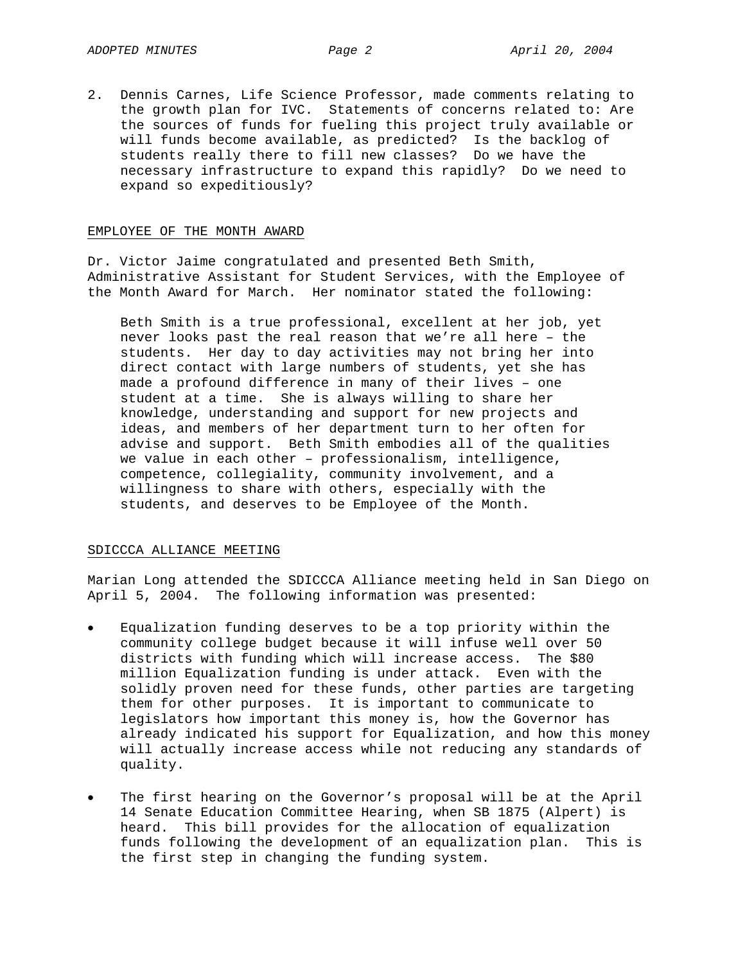2. Dennis Carnes, Life Science Professor, made comments relating to the growth plan for IVC. Statements of concerns related to: Are the sources of funds for fueling this project truly available or will funds become available, as predicted? Is the backlog of students really there to fill new classes? Do we have the necessary infrastructure to expand this rapidly? Do we need to expand so expeditiously?

### EMPLOYEE OF THE MONTH AWARD

Dr. Victor Jaime congratulated and presented Beth Smith, Administrative Assistant for Student Services, with the Employee of the Month Award for March. Her nominator stated the following:

Beth Smith is a true professional, excellent at her job, yet never looks past the real reason that we're all here – the students. Her day to day activities may not bring her into direct contact with large numbers of students, yet she has made a profound difference in many of their lives – one student at a time. She is always willing to share her knowledge, understanding and support for new projects and ideas, and members of her department turn to her often for advise and support. Beth Smith embodies all of the qualities we value in each other – professionalism, intelligence, competence, collegiality, community involvement, and a willingness to share with others, especially with the students, and deserves to be Employee of the Month.

#### SDICCCA ALLIANCE MEETING

Marian Long attended the SDICCCA Alliance meeting held in San Diego on April 5, 2004. The following information was presented:

- Equalization funding deserves to be a top priority within the community college budget because it will infuse well over 50 districts with funding which will increase access. The \$80 million Equalization funding is under attack. Even with the solidly proven need for these funds, other parties are targeting them for other purposes. It is important to communicate to legislators how important this money is, how the Governor has already indicated his support for Equalization, and how this money will actually increase access while not reducing any standards of quality.
- The first hearing on the Governor's proposal will be at the April 14 Senate Education Committee Hearing, when SB 1875 (Alpert) is heard. This bill provides for the allocation of equalization funds following the development of an equalization plan. This is the first step in changing the funding system.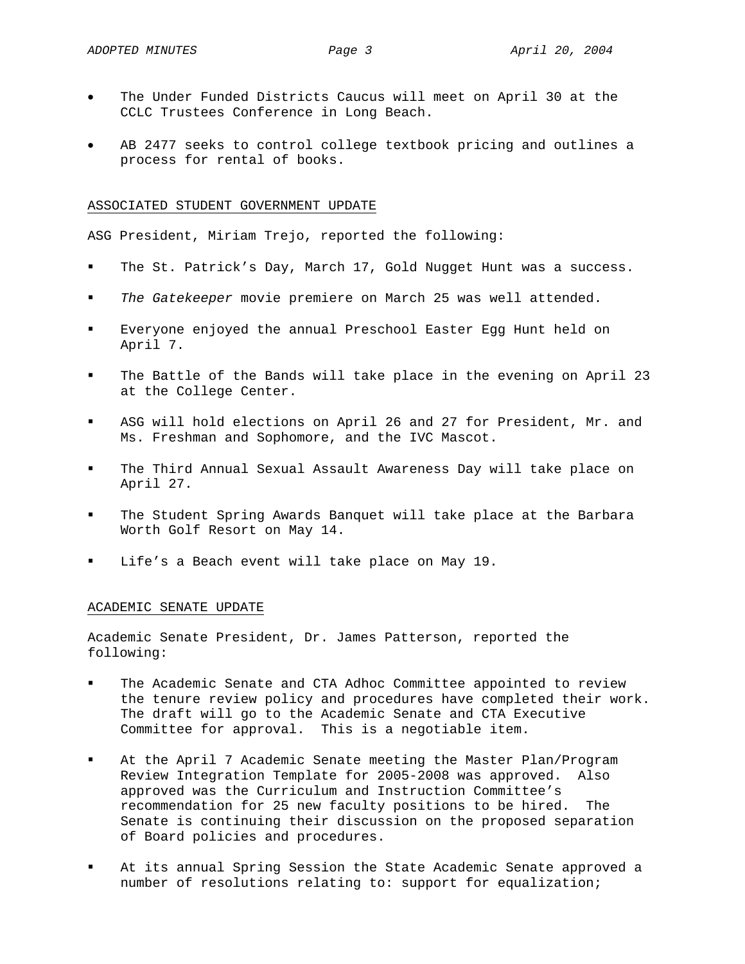- The Under Funded Districts Caucus will meet on April 30 at the CCLC Trustees Conference in Long Beach.
- AB 2477 seeks to control college textbook pricing and outlines a process for rental of books.

### ASSOCIATED STUDENT GOVERNMENT UPDATE

ASG President, Miriam Trejo, reported the following:

- The St. Patrick's Day, March 17, Gold Nugget Hunt was a success.
- *The Gatekeeper* movie premiere on March 25 was well attended.
- Everyone enjoyed the annual Preschool Easter Egg Hunt held on April 7.
- The Battle of the Bands will take place in the evening on April 23 at the College Center.
- ASG will hold elections on April 26 and 27 for President, Mr. and Ms. Freshman and Sophomore, and the IVC Mascot.
- The Third Annual Sexual Assault Awareness Day will take place on April 27.
- The Student Spring Awards Banquet will take place at the Barbara Worth Golf Resort on May 14.
- Life's a Beach event will take place on May 19.

#### ACADEMIC SENATE UPDATE

Academic Senate President, Dr. James Patterson, reported the following:

- The Academic Senate and CTA Adhoc Committee appointed to review the tenure review policy and procedures have completed their work. The draft will go to the Academic Senate and CTA Executive Committee for approval. This is a negotiable item.
- At the April 7 Academic Senate meeting the Master Plan/Program Review Integration Template for 2005-2008 was approved. Also approved was the Curriculum and Instruction Committee's recommendation for 25 new faculty positions to be hired. The Senate is continuing their discussion on the proposed separation of Board policies and procedures.
- At its annual Spring Session the State Academic Senate approved a number of resolutions relating to: support for equalization;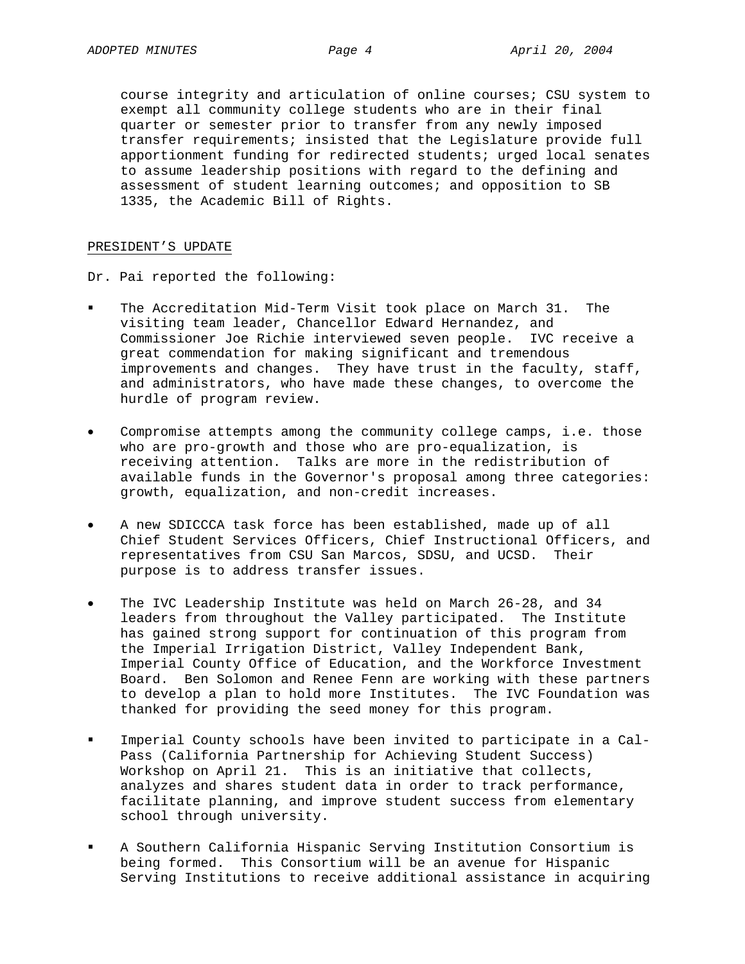course integrity and articulation of online courses; CSU system to exempt all community college students who are in their final quarter or semester prior to transfer from any newly imposed transfer requirements; insisted that the Legislature provide full apportionment funding for redirected students; urged local senates to assume leadership positions with regard to the defining and assessment of student learning outcomes; and opposition to SB 1335, the Academic Bill of Rights.

### PRESIDENT'S UPDATE

Dr. Pai reported the following:

- The Accreditation Mid-Term Visit took place on March 31. The visiting team leader, Chancellor Edward Hernandez, and Commissioner Joe Richie interviewed seven people. IVC receive a great commendation for making significant and tremendous improvements and changes. They have trust in the faculty, staff, and administrators, who have made these changes, to overcome the hurdle of program review.
- Compromise attempts among the community college camps, i.e. those who are pro-growth and those who are pro-equalization, is receiving attention. Talks are more in the redistribution of available funds in the Governor's proposal among three categories: growth, equalization, and non-credit increases.
- A new SDICCCA task force has been established, made up of all Chief Student Services Officers, Chief Instructional Officers, and representatives from CSU San Marcos, SDSU, and UCSD. Their purpose is to address transfer issues.
- The IVC Leadership Institute was held on March 26-28, and 34 leaders from throughout the Valley participated. The Institute has gained strong support for continuation of this program from the Imperial Irrigation District, Valley Independent Bank, Imperial County Office of Education, and the Workforce Investment Board. Ben Solomon and Renee Fenn are working with these partners to develop a plan to hold more Institutes. The IVC Foundation was thanked for providing the seed money for this program.
- Imperial County schools have been invited to participate in a Cal-Pass (California Partnership for Achieving Student Success) Workshop on April 21. This is an initiative that collects, analyzes and shares student data in order to track performance, facilitate planning, and improve student success from elementary school through university.
- A Southern California Hispanic Serving Institution Consortium is being formed. This Consortium will be an avenue for Hispanic Serving Institutions to receive additional assistance in acquiring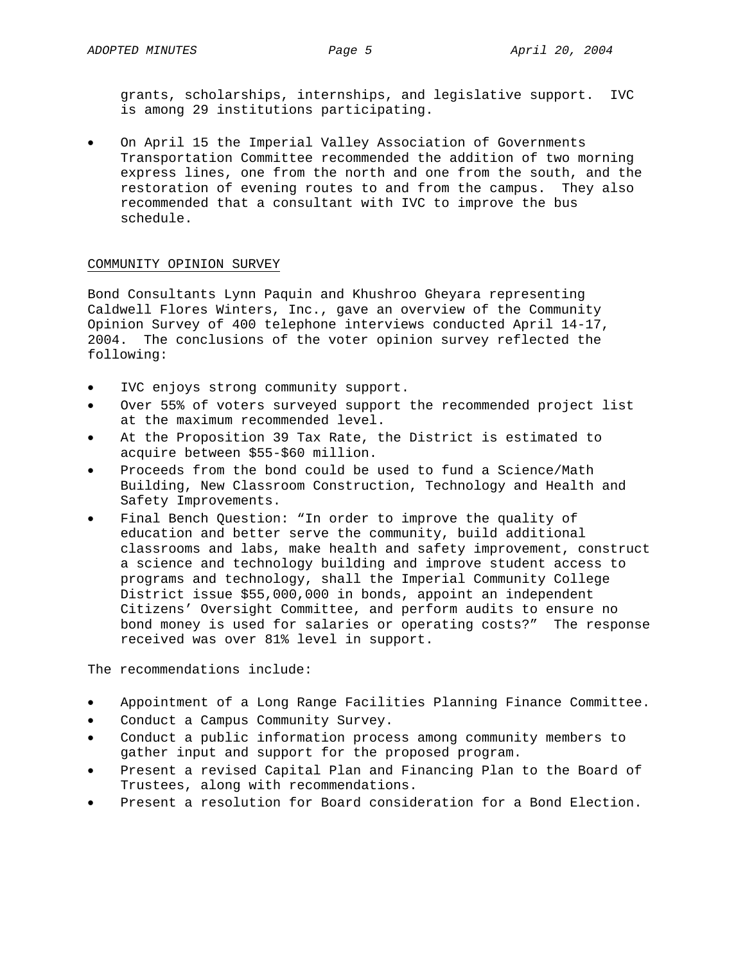grants, scholarships, internships, and legislative support. IVC is among 29 institutions participating.

• On April 15 the Imperial Valley Association of Governments Transportation Committee recommended the addition of two morning express lines, one from the north and one from the south, and the restoration of evening routes to and from the campus. They also recommended that a consultant with IVC to improve the bus schedule.

### COMMUNITY OPINION SURVEY

Bond Consultants Lynn Paquin and Khushroo Gheyara representing Caldwell Flores Winters, Inc., gave an overview of the Community Opinion Survey of 400 telephone interviews conducted April 14-17, 2004. The conclusions of the voter opinion survey reflected the following:

- IVC enjoys strong community support.
- Over 55% of voters surveyed support the recommended project list at the maximum recommended level.
- At the Proposition 39 Tax Rate, the District is estimated to acquire between \$55-\$60 million.
- Proceeds from the bond could be used to fund a Science/Math Building, New Classroom Construction, Technology and Health and Safety Improvements.
- Final Bench Question: "In order to improve the quality of education and better serve the community, build additional classrooms and labs, make health and safety improvement, construct a science and technology building and improve student access to programs and technology, shall the Imperial Community College District issue \$55,000,000 in bonds, appoint an independent Citizens' Oversight Committee, and perform audits to ensure no bond money is used for salaries or operating costs?" The response received was over 81% level in support.

The recommendations include:

- Appointment of a Long Range Facilities Planning Finance Committee.
- Conduct a Campus Community Survey.
- Conduct a public information process among community members to gather input and support for the proposed program.
- Present a revised Capital Plan and Financing Plan to the Board of Trustees, along with recommendations.
- Present a resolution for Board consideration for a Bond Election.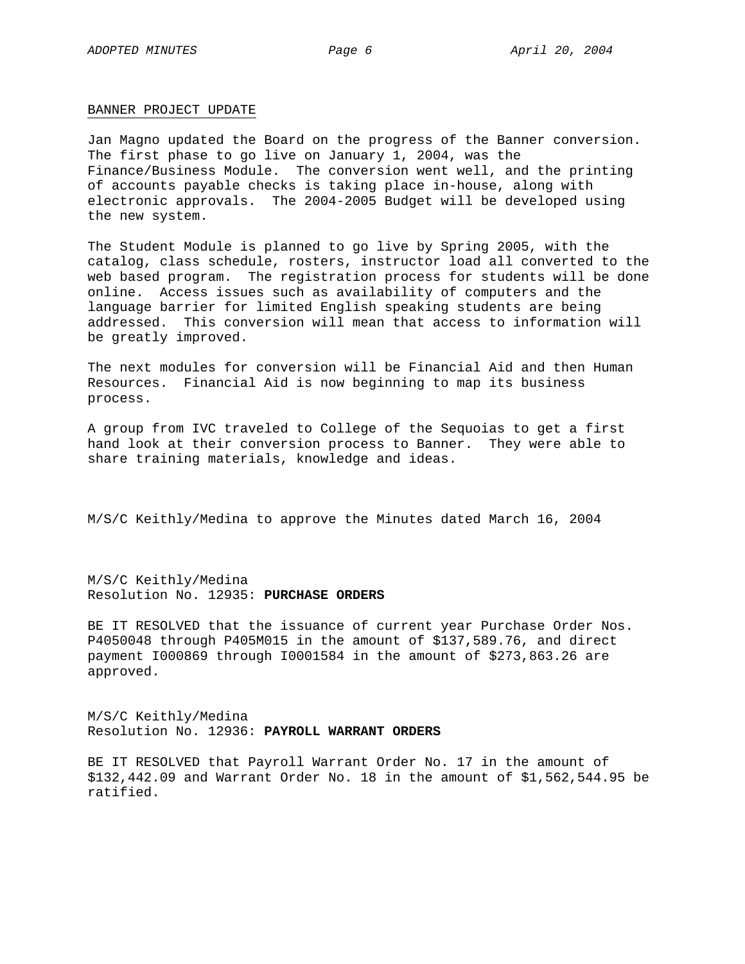#### BANNER PROJECT UPDATE

Jan Magno updated the Board on the progress of the Banner conversion. The first phase to go live on January 1, 2004, was the Finance/Business Module. The conversion went well, and the printing of accounts payable checks is taking place in-house, along with electronic approvals. The 2004-2005 Budget will be developed using the new system.

The Student Module is planned to go live by Spring 2005, with the catalog, class schedule, rosters, instructor load all converted to the web based program. The registration process for students will be done online. Access issues such as availability of computers and the language barrier for limited English speaking students are being addressed. This conversion will mean that access to information will be greatly improved.

The next modules for conversion will be Financial Aid and then Human Resources. Financial Aid is now beginning to map its business process.

A group from IVC traveled to College of the Sequoias to get a first hand look at their conversion process to Banner. They were able to share training materials, knowledge and ideas.

M/S/C Keithly/Medina to approve the Minutes dated March 16, 2004

M/S/C Keithly/Medina Resolution No. 12935: **PURCHASE ORDERS**

BE IT RESOLVED that the issuance of current year Purchase Order Nos. P4050048 through P405M015 in the amount of \$137,589.76, and direct payment I000869 through I0001584 in the amount of \$273,863.26 are approved.

M/S/C Keithly/Medina Resolution No. 12936: **PAYROLL WARRANT ORDERS**

BE IT RESOLVED that Payroll Warrant Order No. 17 in the amount of \$132,442.09 and Warrant Order No. 18 in the amount of \$1,562,544.95 be ratified.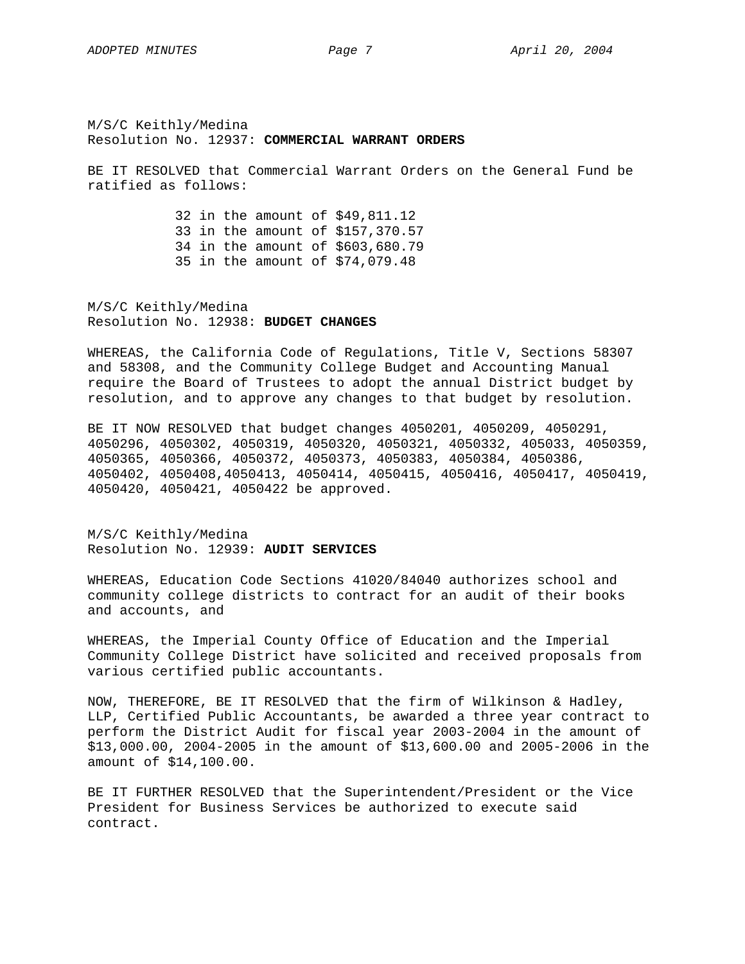M/S/C Keithly/Medina Resolution No. 12937: **COMMERCIAL WARRANT ORDERS**

BE IT RESOLVED that Commercial Warrant Orders on the General Fund be ratified as follows:

> 32 in the amount of \$49,811.12 33 in the amount of \$157,370.57 34 in the amount of \$603,680.79 35 in the amount of \$74,079.48

M/S/C Keithly/Medina Resolution No. 12938: **BUDGET CHANGES**

WHEREAS, the California Code of Regulations, Title V, Sections 58307 and 58308, and the Community College Budget and Accounting Manual require the Board of Trustees to adopt the annual District budget by resolution, and to approve any changes to that budget by resolution.

BE IT NOW RESOLVED that budget changes 4050201, 4050209, 4050291, 4050296, 4050302, 4050319, 4050320, 4050321, 4050332, 405033, 4050359, 4050365, 4050366, 4050372, 4050373, 4050383, 4050384, 4050386, 4050402, 4050408,4050413, 4050414, 4050415, 4050416, 4050417, 4050419, 4050420, 4050421, 4050422 be approved.

M/S/C Keithly/Medina Resolution No. 12939: **AUDIT SERVICES**

WHEREAS, Education Code Sections 41020/84040 authorizes school and community college districts to contract for an audit of their books and accounts, and

WHEREAS, the Imperial County Office of Education and the Imperial Community College District have solicited and received proposals from various certified public accountants.

NOW, THEREFORE, BE IT RESOLVED that the firm of Wilkinson & Hadley, LLP, Certified Public Accountants, be awarded a three year contract to perform the District Audit for fiscal year 2003-2004 in the amount of \$13,000.00, 2004-2005 in the amount of \$13,600.00 and 2005-2006 in the amount of \$14,100.00.

BE IT FURTHER RESOLVED that the Superintendent/President or the Vice President for Business Services be authorized to execute said contract.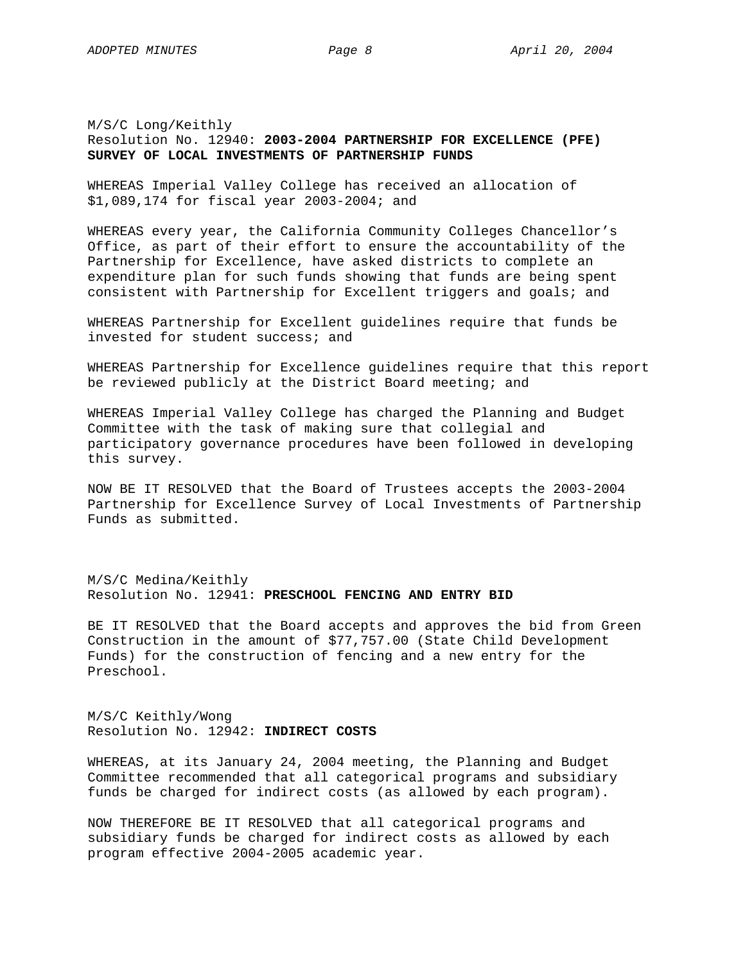# M/S/C Long/Keithly Resolution No. 12940: **2003-2004 PARTNERSHIP FOR EXCELLENCE (PFE) SURVEY OF LOCAL INVESTMENTS OF PARTNERSHIP FUNDS**

WHEREAS Imperial Valley College has received an allocation of \$1,089,174 for fiscal year 2003-2004; and

WHEREAS every year, the California Community Colleges Chancellor's Office, as part of their effort to ensure the accountability of the Partnership for Excellence, have asked districts to complete an expenditure plan for such funds showing that funds are being spent consistent with Partnership for Excellent triggers and goals; and

WHEREAS Partnership for Excellent guidelines require that funds be invested for student success; and

WHEREAS Partnership for Excellence guidelines require that this report be reviewed publicly at the District Board meeting; and

WHEREAS Imperial Valley College has charged the Planning and Budget Committee with the task of making sure that collegial and participatory governance procedures have been followed in developing this survey.

NOW BE IT RESOLVED that the Board of Trustees accepts the 2003-2004 Partnership for Excellence Survey of Local Investments of Partnership Funds as submitted.

M/S/C Medina/Keithly Resolution No. 12941: **PRESCHOOL FENCING AND ENTRY BID**

BE IT RESOLVED that the Board accepts and approves the bid from Green Construction in the amount of \$77,757.00 (State Child Development Funds) for the construction of fencing and a new entry for the Preschool.

M/S/C Keithly/Wong Resolution No. 12942: **INDIRECT COSTS**

WHEREAS, at its January 24, 2004 meeting, the Planning and Budget Committee recommended that all categorical programs and subsidiary funds be charged for indirect costs (as allowed by each program).

NOW THEREFORE BE IT RESOLVED that all categorical programs and subsidiary funds be charged for indirect costs as allowed by each program effective 2004-2005 academic year.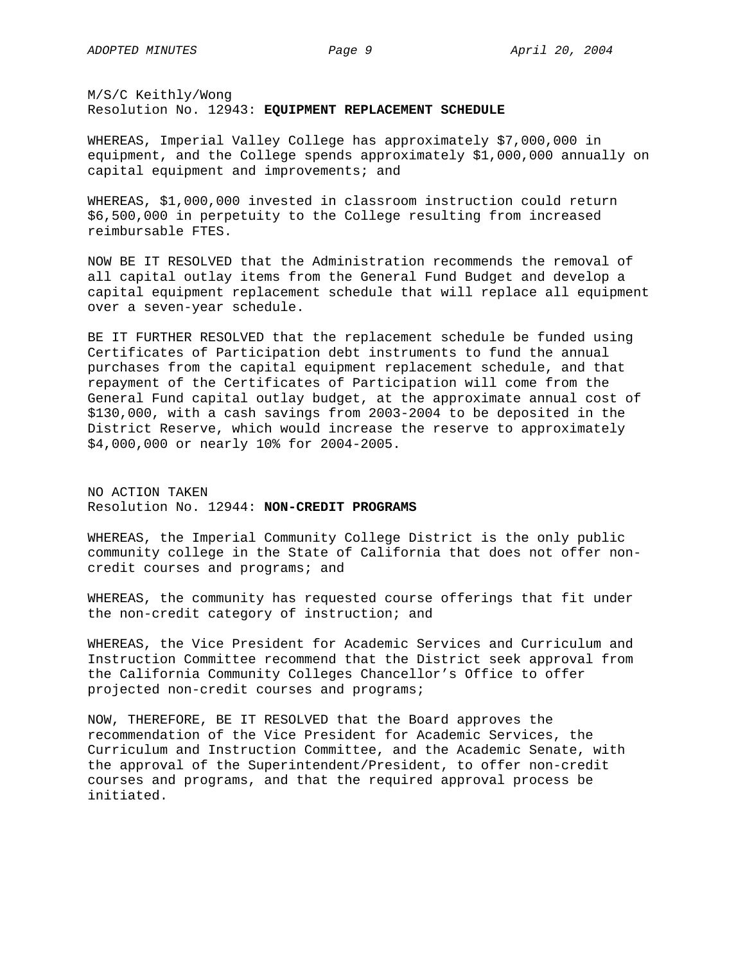M/S/C Keithly/Wong Resolution No. 12943: **EQUIPMENT REPLACEMENT SCHEDULE**

WHEREAS, Imperial Valley College has approximately \$7,000,000 in equipment, and the College spends approximately \$1,000,000 annually on capital equipment and improvements; and

WHEREAS, \$1,000,000 invested in classroom instruction could return \$6,500,000 in perpetuity to the College resulting from increased reimbursable FTES.

NOW BE IT RESOLVED that the Administration recommends the removal of all capital outlay items from the General Fund Budget and develop a capital equipment replacement schedule that will replace all equipment over a seven-year schedule.

BE IT FURTHER RESOLVED that the replacement schedule be funded using Certificates of Participation debt instruments to fund the annual purchases from the capital equipment replacement schedule, and that repayment of the Certificates of Participation will come from the General Fund capital outlay budget, at the approximate annual cost of \$130,000, with a cash savings from 2003-2004 to be deposited in the District Reserve, which would increase the reserve to approximately \$4,000,000 or nearly 10% for 2004-2005.

NO ACTION TAKEN Resolution No. 12944: **NON-CREDIT PROGRAMS**

WHEREAS, the Imperial Community College District is the only public community college in the State of California that does not offer noncredit courses and programs; and

WHEREAS, the community has requested course offerings that fit under the non-credit category of instruction; and

WHEREAS, the Vice President for Academic Services and Curriculum and Instruction Committee recommend that the District seek approval from the California Community Colleges Chancellor's Office to offer projected non-credit courses and programs;

NOW, THEREFORE, BE IT RESOLVED that the Board approves the recommendation of the Vice President for Academic Services, the Curriculum and Instruction Committee, and the Academic Senate, with the approval of the Superintendent/President, to offer non-credit courses and programs, and that the required approval process be initiated.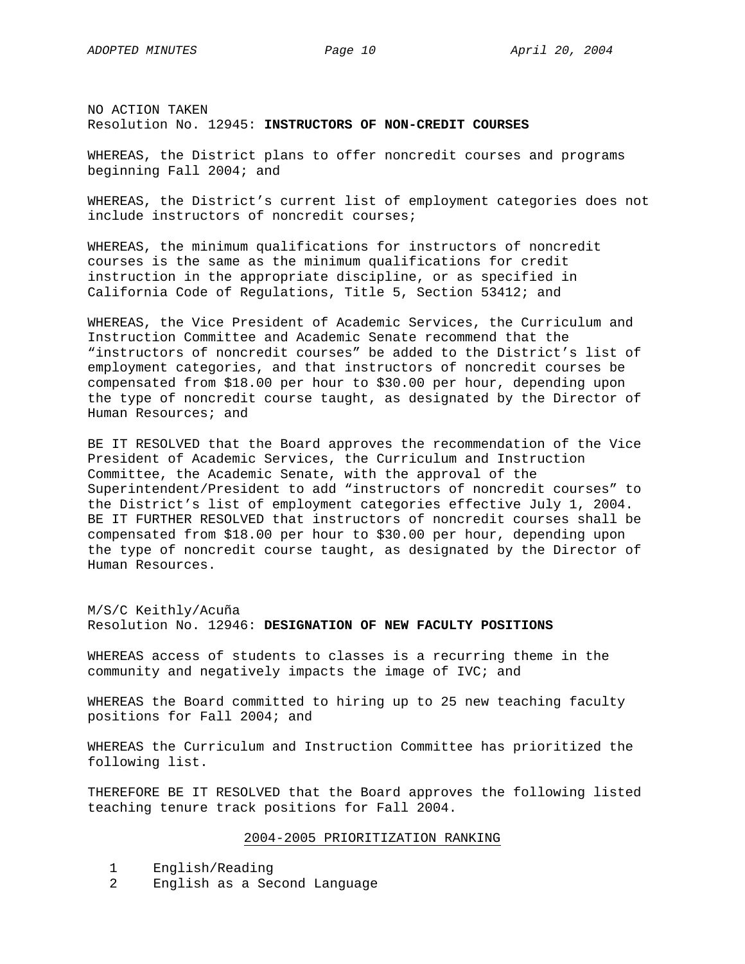NO ACTION TAKEN Resolution No. 12945: **INSTRUCTORS OF NON-CREDIT COURSES**

WHEREAS, the District plans to offer noncredit courses and programs beginning Fall 2004; and

WHEREAS, the District's current list of employment categories does not include instructors of noncredit courses;

WHEREAS, the minimum qualifications for instructors of noncredit courses is the same as the minimum qualifications for credit instruction in the appropriate discipline, or as specified in California Code of Regulations, Title 5, Section 53412; and

WHEREAS, the Vice President of Academic Services, the Curriculum and Instruction Committee and Academic Senate recommend that the "instructors of noncredit courses" be added to the District's list of employment categories, and that instructors of noncredit courses be compensated from \$18.00 per hour to \$30.00 per hour, depending upon the type of noncredit course taught, as designated by the Director of Human Resources; and

BE IT RESOLVED that the Board approves the recommendation of the Vice President of Academic Services, the Curriculum and Instruction Committee, the Academic Senate, with the approval of the Superintendent/President to add "instructors of noncredit courses" to the District's list of employment categories effective July 1, 2004. BE IT FURTHER RESOLVED that instructors of noncredit courses shall be compensated from \$18.00 per hour to \$30.00 per hour, depending upon the type of noncredit course taught, as designated by the Director of Human Resources.

M/S/C Keithly/Acuña Resolution No. 12946: **DESIGNATION OF NEW FACULTY POSITIONS**

WHEREAS access of students to classes is a recurring theme in the community and negatively impacts the image of IVC; and

WHEREAS the Board committed to hiring up to 25 new teaching faculty positions for Fall 2004; and

WHEREAS the Curriculum and Instruction Committee has prioritized the following list.

THEREFORE BE IT RESOLVED that the Board approves the following listed teaching tenure track positions for Fall 2004.

#### 2004-2005 PRIORITIZATION RANKING

- 1 English/Reading
- 2 English as a Second Language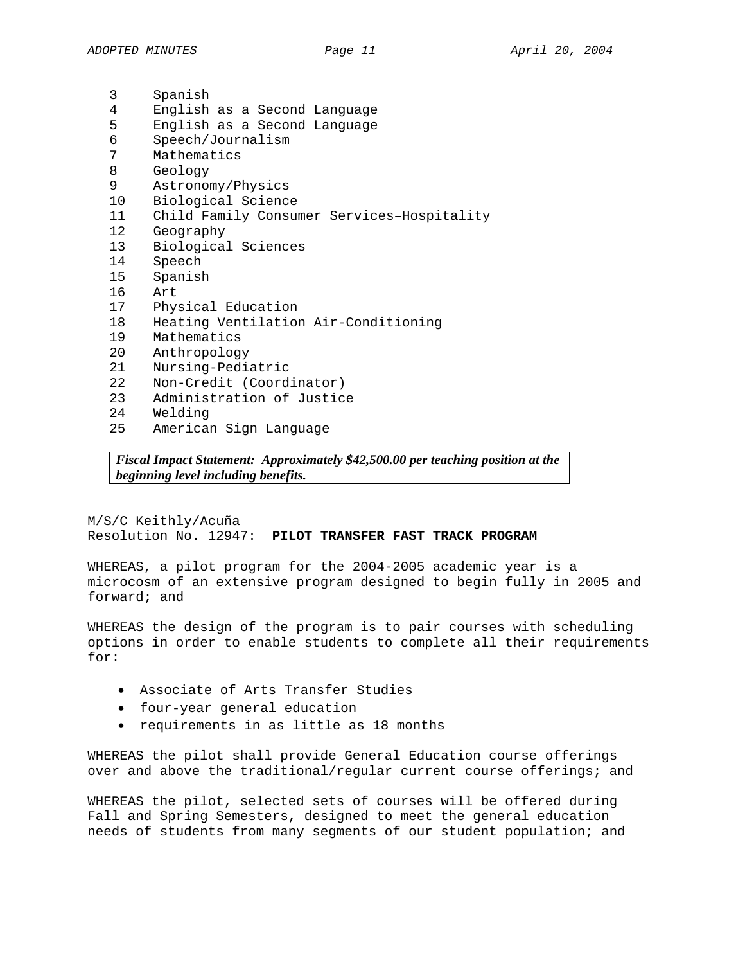| 3               | Spanish                                    |  |  |
|-----------------|--------------------------------------------|--|--|
| 4               | English as a Second Language               |  |  |
| 5               | English as a Second Language               |  |  |
| 6               | Speech/Journalism                          |  |  |
| 7               | Mathematics                                |  |  |
| 8               | Geology                                    |  |  |
| 9               | Astronomy/Physics                          |  |  |
| 10 <sup>1</sup> | Biological Science                         |  |  |
| 11              | Child Family Consumer Services-Hospitality |  |  |
| 12 <sub>1</sub> | Geography                                  |  |  |
| 13              | Biological Sciences                        |  |  |
| 14              | Speech                                     |  |  |
| 15              | Spanish                                    |  |  |
| 16              | Art.                                       |  |  |
| 17              | Physical Education                         |  |  |
| 18              | Heating Ventilation Air-Conditioning       |  |  |
| 19              | Mathematics                                |  |  |
| 20              | Anthropology                               |  |  |
| 21              | Nursing-Pediatric                          |  |  |
| 22              | Non-Credit (Coordinator)                   |  |  |
| 23              | Administration of Justice                  |  |  |
| 24              | Welding                                    |  |  |
| 25              | American Sign Language                     |  |  |
|                 |                                            |  |  |

*Fiscal Impact Statement: Approximately \$42,500.00 per teaching position at the beginning level including benefits.* 

M/S/C Keithly/Acuña Resolution No. 12947: **PILOT TRANSFER FAST TRACK PROGRAM** 

WHEREAS, a pilot program for the 2004-2005 academic year is a microcosm of an extensive program designed to begin fully in 2005 and forward; and

WHEREAS the design of the program is to pair courses with scheduling options in order to enable students to complete all their requirements for:

- Associate of Arts Transfer Studies
- four-year general education
- requirements in as little as 18 months

WHEREAS the pilot shall provide General Education course offerings over and above the traditional/regular current course offerings; and

WHEREAS the pilot, selected sets of courses will be offered during Fall and Spring Semesters, designed to meet the general education needs of students from many segments of our student population; and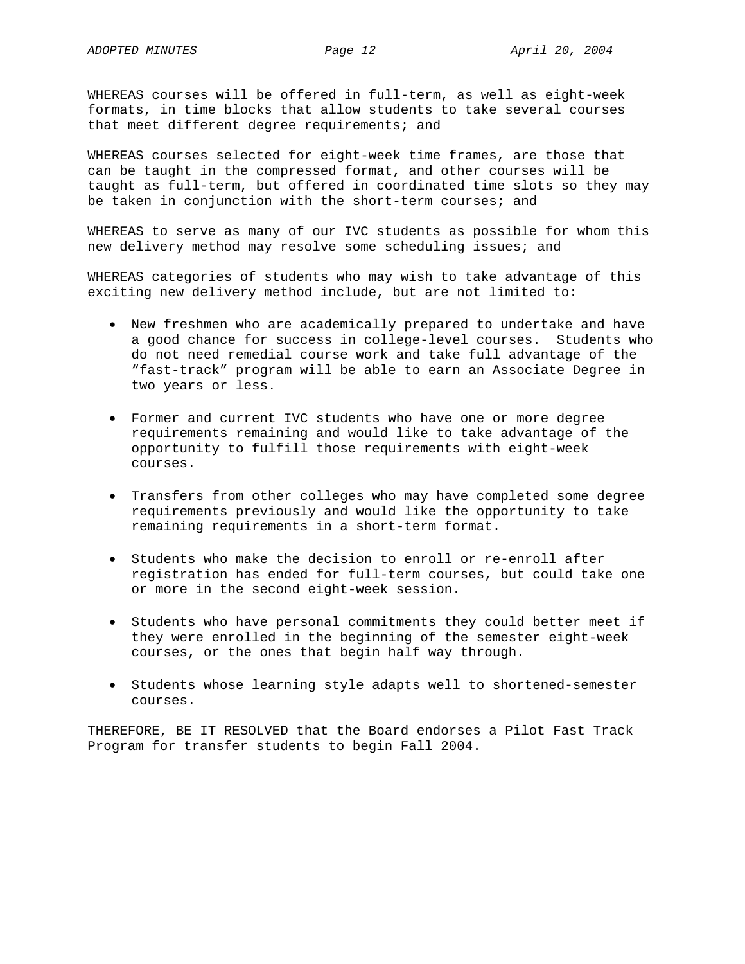WHEREAS courses will be offered in full-term, as well as eight-week formats, in time blocks that allow students to take several courses that meet different degree requirements; and

WHEREAS courses selected for eight-week time frames, are those that can be taught in the compressed format, and other courses will be taught as full-term, but offered in coordinated time slots so they may be taken in conjunction with the short-term courses; and

WHEREAS to serve as many of our IVC students as possible for whom this new delivery method may resolve some scheduling issues; and

WHEREAS categories of students who may wish to take advantage of this exciting new delivery method include, but are not limited to:

- New freshmen who are academically prepared to undertake and have a good chance for success in college-level courses. Students who do not need remedial course work and take full advantage of the "fast-track" program will be able to earn an Associate Degree in two years or less.
- Former and current IVC students who have one or more degree requirements remaining and would like to take advantage of the opportunity to fulfill those requirements with eight-week courses.
- Transfers from other colleges who may have completed some degree requirements previously and would like the opportunity to take remaining requirements in a short-term format.
- Students who make the decision to enroll or re-enroll after registration has ended for full-term courses, but could take one or more in the second eight-week session.
- Students who have personal commitments they could better meet if they were enrolled in the beginning of the semester eight-week courses, or the ones that begin half way through.
- Students whose learning style adapts well to shortened-semester courses.

THEREFORE, BE IT RESOLVED that the Board endorses a Pilot Fast Track Program for transfer students to begin Fall 2004.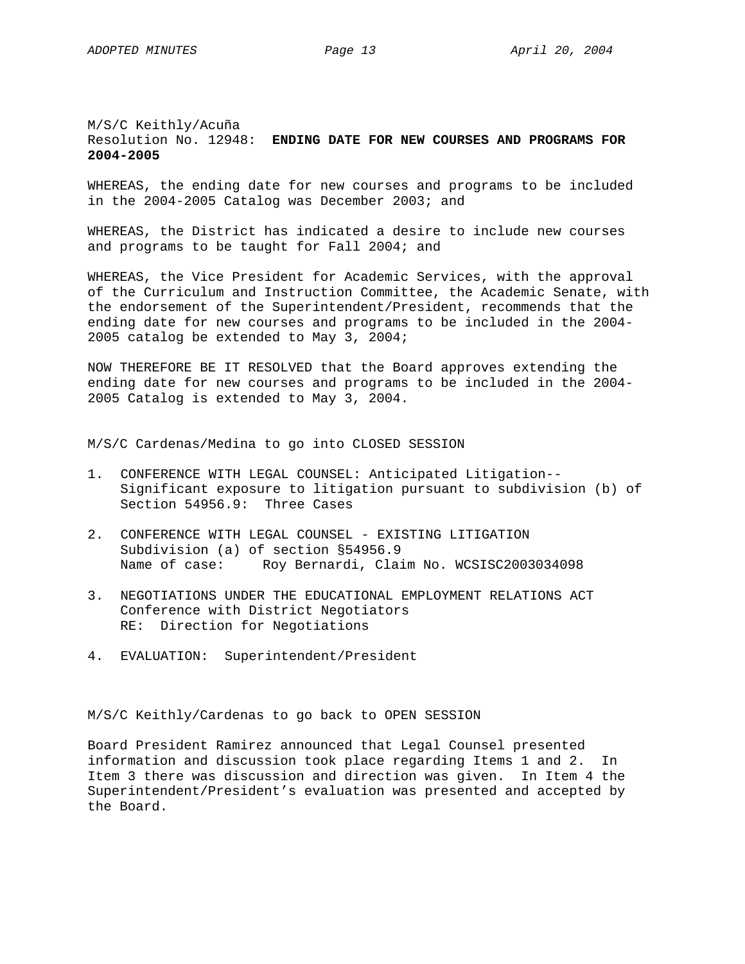# M/S/C Keithly/Acuña Resolution No. 12948: **ENDING DATE FOR NEW COURSES AND PROGRAMS FOR 2004-2005**

WHEREAS, the ending date for new courses and programs to be included in the 2004-2005 Catalog was December 2003; and

WHEREAS, the District has indicated a desire to include new courses and programs to be taught for Fall 2004; and

WHEREAS, the Vice President for Academic Services, with the approval of the Curriculum and Instruction Committee, the Academic Senate, with the endorsement of the Superintendent/President, recommends that the ending date for new courses and programs to be included in the 2004- 2005 catalog be extended to May 3, 2004;

NOW THEREFORE BE IT RESOLVED that the Board approves extending the ending date for new courses and programs to be included in the 2004- 2005 Catalog is extended to May 3, 2004.

M/S/C Cardenas/Medina to go into CLOSED SESSION

- 1. CONFERENCE WITH LEGAL COUNSEL: Anticipated Litigation-- Significant exposure to litigation pursuant to subdivision (b) of Section 54956.9: Three Cases
- 2. CONFERENCE WITH LEGAL COUNSEL EXISTING LITIGATION Subdivision (a) of section §54956.9 Name of case: Roy Bernardi, Claim No. WCSISC2003034098
- 3. NEGOTIATIONS UNDER THE EDUCATIONAL EMPLOYMENT RELATIONS ACT Conference with District Negotiators RE: Direction for Negotiations
- 4. EVALUATION: Superintendent/President

M/S/C Keithly/Cardenas to go back to OPEN SESSION

Board President Ramirez announced that Legal Counsel presented information and discussion took place regarding Items 1 and 2. In Item 3 there was discussion and direction was given. In Item 4 the Superintendent/President's evaluation was presented and accepted by the Board.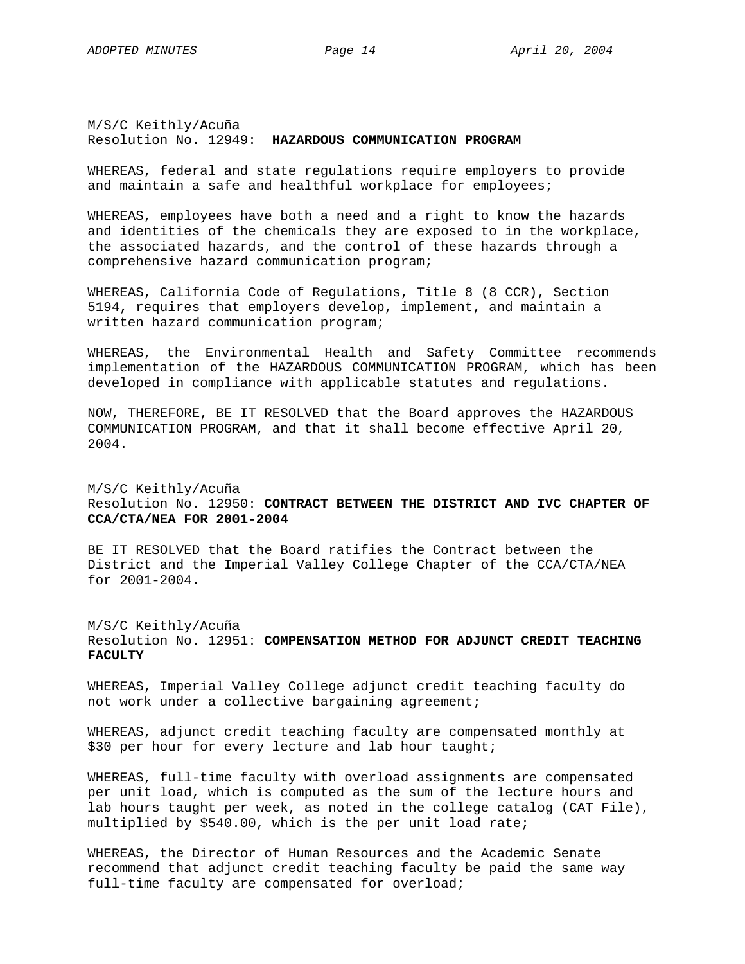# M/S/C Keithly/Acuña Resolution No. 12949: **HAZARDOUS COMMUNICATION PROGRAM**

WHEREAS, federal and state regulations require employers to provide and maintain a safe and healthful workplace for employees;

WHEREAS, employees have both a need and a right to know the hazards and identities of the chemicals they are exposed to in the workplace, the associated hazards, and the control of these hazards through a comprehensive hazard communication program;

WHEREAS, California Code of Regulations, Title 8 (8 CCR), Section 5194, requires that employers develop, implement, and maintain a written hazard communication program;

WHEREAS, the Environmental Health and Safety Committee recommends implementation of the HAZARDOUS COMMUNICATION PROGRAM, which has been developed in compliance with applicable statutes and regulations.

NOW, THEREFORE, BE IT RESOLVED that the Board approves the HAZARDOUS COMMUNICATION PROGRAM, and that it shall become effective April 20, 2004.

# M/S/C Keithly/Acuña Resolution No. 12950: **CONTRACT BETWEEN THE DISTRICT AND IVC CHAPTER OF CCA/CTA/NEA FOR 2001-2004**

BE IT RESOLVED that the Board ratifies the Contract between the District and the Imperial Valley College Chapter of the CCA/CTA/NEA for 2001-2004.

## M/S/C Keithly/Acuña Resolution No. 12951: **COMPENSATION METHOD FOR ADJUNCT CREDIT TEACHING FACULTY**

WHEREAS, Imperial Valley College adjunct credit teaching faculty do not work under a collective bargaining agreement;

WHEREAS, adjunct credit teaching faculty are compensated monthly at \$30 per hour for every lecture and lab hour taught;

WHEREAS, full-time faculty with overload assignments are compensated per unit load, which is computed as the sum of the lecture hours and lab hours taught per week, as noted in the college catalog (CAT File), multiplied by \$540.00, which is the per unit load rate;

WHEREAS, the Director of Human Resources and the Academic Senate recommend that adjunct credit teaching faculty be paid the same way full-time faculty are compensated for overload;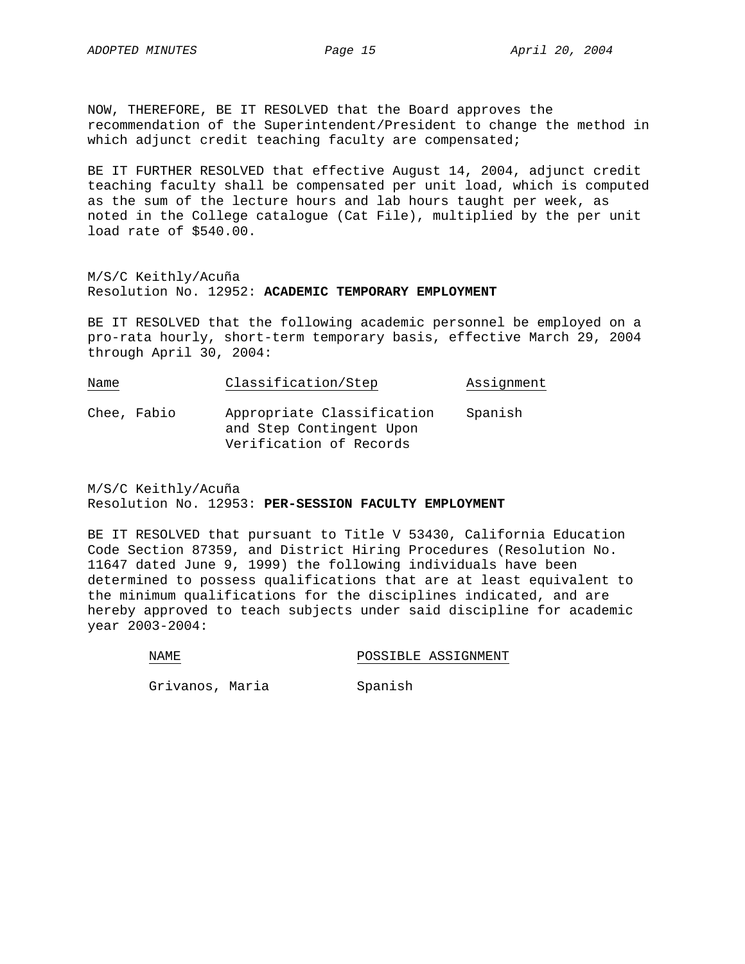NOW, THEREFORE, BE IT RESOLVED that the Board approves the recommendation of the Superintendent/President to change the method in which adjunct credit teaching faculty are compensated;

BE IT FURTHER RESOLVED that effective August 14, 2004, adjunct credit teaching faculty shall be compensated per unit load, which is computed as the sum of the lecture hours and lab hours taught per week, as noted in the College catalogue (Cat File), multiplied by the per unit load rate of \$540.00.

M/S/C Keithly/Acuña Resolution No. 12952: **ACADEMIC TEMPORARY EMPLOYMENT**

BE IT RESOLVED that the following academic personnel be employed on a pro-rata hourly, short-term temporary basis, effective March 29, 2004 through April 30, 2004:

| Name |             | Classification/Step                                                               | Assignment |
|------|-------------|-----------------------------------------------------------------------------------|------------|
|      | Chee, Fabio | Appropriate Classification<br>and Step Contingent Upon<br>Verification of Records | Spanish    |

M/S/C Keithly/Acuña Resolution No. 12953: **PER-SESSION FACULTY EMPLOYMENT**

BE IT RESOLVED that pursuant to Title V 53430, California Education Code Section 87359, and District Hiring Procedures (Resolution No. 11647 dated June 9, 1999) the following individuals have been determined to possess qualifications that are at least equivalent to the minimum qualifications for the disciplines indicated, and are hereby approved to teach subjects under said discipline for academic year 2003-2004:

NAME POSSIBLE ASSIGNMENT

Grivanos, Maria Spanish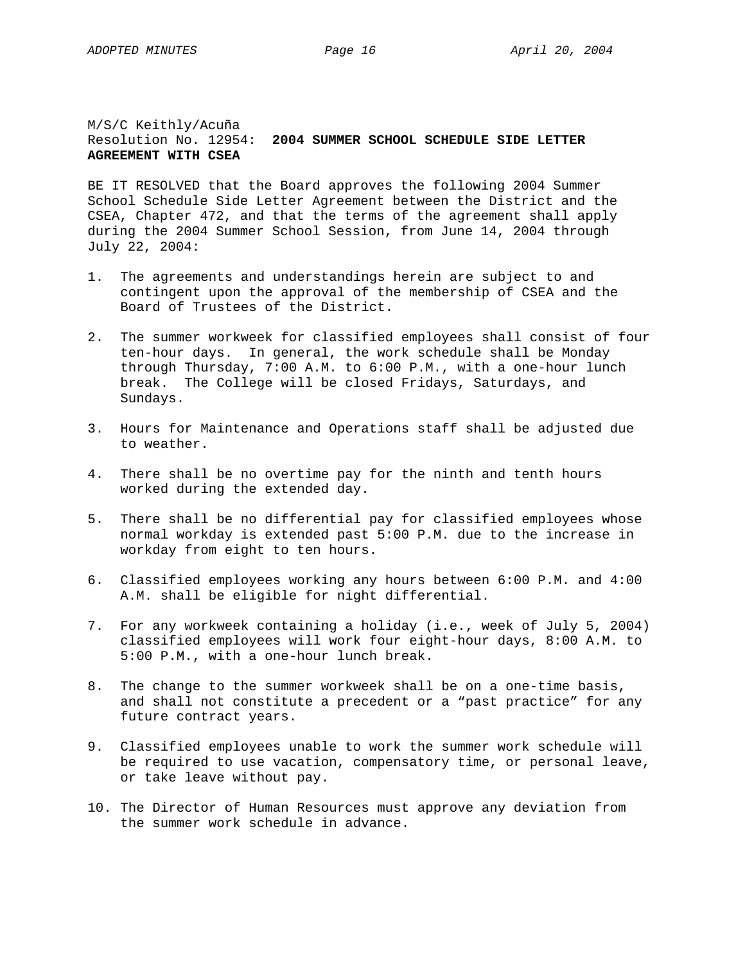# M/S/C Keithly/Acuña Resolution No. 12954: **2004 SUMMER SCHOOL SCHEDULE SIDE LETTER AGREEMENT WITH CSEA**

BE IT RESOLVED that the Board approves the following 2004 Summer School Schedule Side Letter Agreement between the District and the CSEA, Chapter 472, and that the terms of the agreement shall apply during the 2004 Summer School Session, from June 14, 2004 through July 22, 2004:

- 1. The agreements and understandings herein are subject to and contingent upon the approval of the membership of CSEA and the Board of Trustees of the District.
- 2. The summer workweek for classified employees shall consist of four ten-hour days. In general, the work schedule shall be Monday through Thursday, 7:00 A.M. to 6:00 P.M., with a one-hour lunch break. The College will be closed Fridays, Saturdays, and Sundays.
- 3. Hours for Maintenance and Operations staff shall be adjusted due to weather.
- 4. There shall be no overtime pay for the ninth and tenth hours worked during the extended day.
- 5. There shall be no differential pay for classified employees whose normal workday is extended past 5:00 P.M. due to the increase in workday from eight to ten hours.
- 6. Classified employees working any hours between 6:00 P.M. and 4:00 A.M. shall be eligible for night differential.
- 7. For any workweek containing a holiday (i.e., week of July 5, 2004) classified employees will work four eight-hour days, 8:00 A.M. to 5:00 P.M., with a one-hour lunch break.
- 8. The change to the summer workweek shall be on a one-time basis, and shall not constitute a precedent or a "past practice" for any future contract years.
- 9. Classified employees unable to work the summer work schedule will be required to use vacation, compensatory time, or personal leave, or take leave without pay.
- 10. The Director of Human Resources must approve any deviation from the summer work schedule in advance.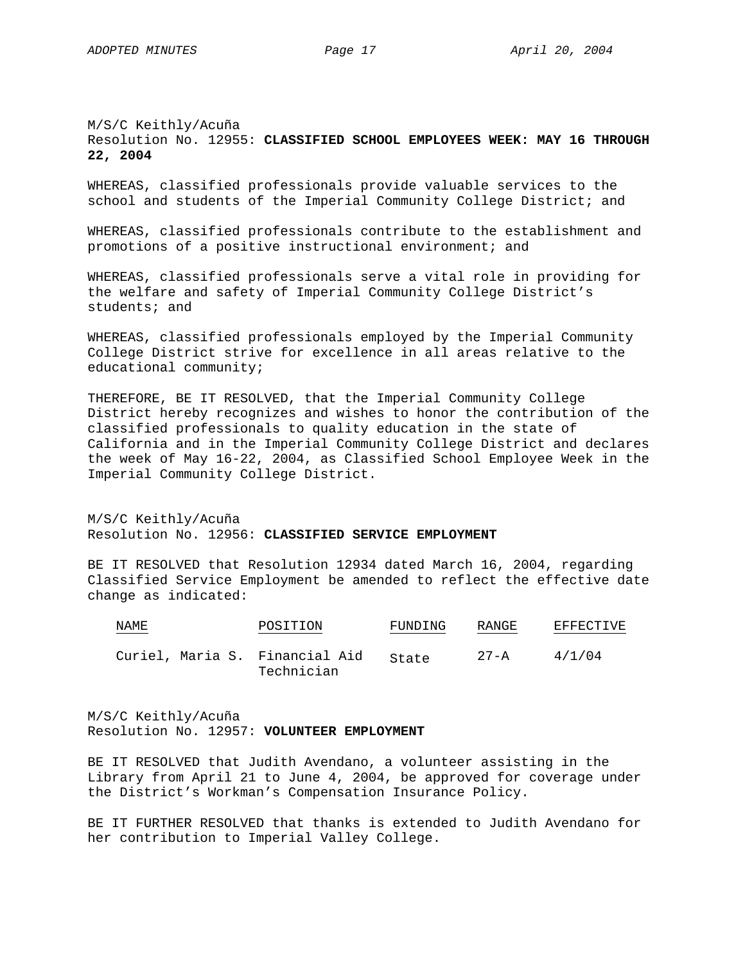# M/S/C Keithly/Acuña Resolution No. 12955: **CLASSIFIED SCHOOL EMPLOYEES WEEK: MAY 16 THROUGH 22, 2004**

WHEREAS, classified professionals provide valuable services to the school and students of the Imperial Community College District; and

WHEREAS, classified professionals contribute to the establishment and promotions of a positive instructional environment; and

WHEREAS, classified professionals serve a vital role in providing for the welfare and safety of Imperial Community College District's students; and

WHEREAS, classified professionals employed by the Imperial Community College District strive for excellence in all areas relative to the educational community;

THEREFORE, BE IT RESOLVED, that the Imperial Community College District hereby recognizes and wishes to honor the contribution of the classified professionals to quality education in the state of California and in the Imperial Community College District and declares the week of May 16-22, 2004, as Classified School Employee Week in the Imperial Community College District.

M/S/C Keithly/Acuña Resolution No. 12956: **CLASSIFIED SERVICE EMPLOYMENT**

BE IT RESOLVED that Resolution 12934 dated March 16, 2004, regarding Classified Service Employment be amended to reflect the effective date change as indicated:

| NAME                           | POSITION   | FUNDING | RANGE | EFFECTIVE |
|--------------------------------|------------|---------|-------|-----------|
| Curiel, Maria S. Financial Aid | Technician | State   | 27-A  | 4/1/04    |

M/S/C Keithly/Acuña Resolution No. 12957: **VOLUNTEER EMPLOYMENT**

BE IT RESOLVED that Judith Avendano, a volunteer assisting in the Library from April 21 to June 4, 2004, be approved for coverage under the District's Workman's Compensation Insurance Policy.

BE IT FURTHER RESOLVED that thanks is extended to Judith Avendano for her contribution to Imperial Valley College.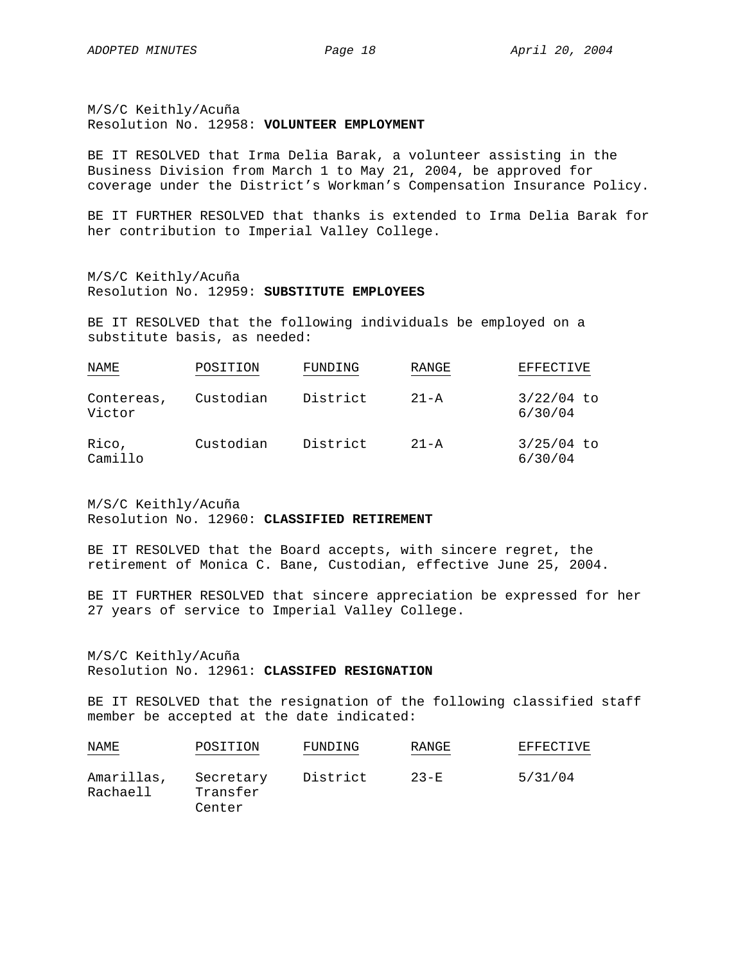M/S/C Keithly/Acuña Resolution No. 12958: **VOLUNTEER EMPLOYMENT**

BE IT RESOLVED that Irma Delia Barak, a volunteer assisting in the Business Division from March 1 to May 21, 2004, be approved for coverage under the District's Workman's Compensation Insurance Policy.

BE IT FURTHER RESOLVED that thanks is extended to Irma Delia Barak for her contribution to Imperial Valley College.

M/S/C Keithly/Acuña Resolution No. 12959: **SUBSTITUTE EMPLOYEES**

BE IT RESOLVED that the following individuals be employed on a substitute basis, as needed:

| NAME                 | POSITION  | FUNDING  | RANGE    | <b>EFFECTIVE</b>        |
|----------------------|-----------|----------|----------|-------------------------|
| Contereas,<br>Victor | Custodian | District | $21 - A$ | $3/22/04$ to<br>6/30/04 |
| Rico,<br>Camillo     | Custodian | District | $21 - A$ | 3/25/04 to<br>6/30/04   |

M/S/C Keithly/Acuña Resolution No. 12960: **CLASSIFIED RETIREMENT**

BE IT RESOLVED that the Board accepts, with sincere regret, the retirement of Monica C. Bane, Custodian, effective June 25, 2004.

BE IT FURTHER RESOLVED that sincere appreciation be expressed for her 27 years of service to Imperial Valley College.

M/S/C Keithly/Acuña Resolution No. 12961: **CLASSIFED RESIGNATION**

BE IT RESOLVED that the resignation of the following classified staff member be accepted at the date indicated:

| NAME                   | POSITION                        | FUNDING  | RANGE    | EFFECTIVE |
|------------------------|---------------------------------|----------|----------|-----------|
| Amarillas,<br>Rachaell | Secretary<br>Transfer<br>Center | District | $23 - F$ | 5/31/04   |